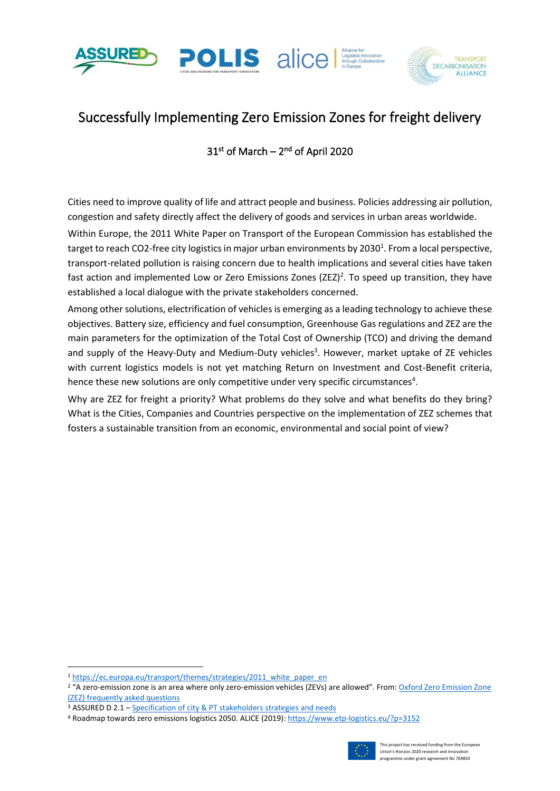





# Successfully Implementing Zero Emission Zones for freight delivery

## $31<sup>st</sup>$  of March –  $2<sup>nd</sup>$  of April 2020

Cities need to improve quality of life and attract people and business. Policies addressing air pollution, congestion and safety directly affect the delivery of goods and services in urban areas worldwide.

Within Europe, the 2011 White Paper on Transport of the European Commission has established the target to reach CO2-free city logistics in major urban environments by 2030<sup>1</sup>. From a local perspective, transport-related pollution is raising concern due to health implications and several cities have taken fast action and implemented Low or Zero Emissions Zones (ZEZ)<sup>2</sup>. To speed up transition, they have established a local dialogue with the private stakeholders concerned.

Among other solutions, electrification of vehicles is emerging as a leading technology to achieve these objectives. Battery size, efficiency and fuel consumption, Greenhouse Gas regulations and ZEZ are the main parameters for the optimization of the Total Cost of Ownership (TCO) and driving the demand and supply of the Heavy-Duty and Medium-Duty vehicles<sup>3</sup>. However, market uptake of ZE vehicles with current logistics models is not yet matching Return on Investment and Cost-Benefit criteria, hence these new solutions are only competitive under very specific circumstances<sup>4</sup>.

Why are ZEZ for freight a priority? What problems do they solve and what benefits do they bring? What is the Cities, Companies and Countries perspective on the implementation of ZEZ schemes that fosters a sustainable transition from an economic, environmental and social point of view?

<sup>4</sup> Roadmap towards zero emissions logistics 2050. ALICE (2019)[: https://www.etp-logistics.eu/?p=3152](https://www.etp-logistics.eu/?p=3152)



<sup>1</sup> [https://ec.europa.eu/transport/themes/strategies/2011\\_white\\_paper\\_en](https://ec.europa.eu/transport/themes/strategies/2011_white_paper_en)

<sup>&</sup>lt;sup>2</sup> "A zero-emission zone is an area where only zero-emission vehicles (ZEVs) are allowed". From: Oxford Zero Emission Zone [\(ZEZ\) frequently asked questions](https://www.oxford.gov.uk/info/20216/air_quality_management/1306/oxford_zero_emission_zone_zez_frequently_asked_questions)

<sup>3</sup> ASSURED D 2.1 – [Specification of city & PT stakeholders strategies and needs](https://assured-project.eu/storage/files/d21-specification-of-city-pt-stakeholders-strategies-and-needs_1.pdf)